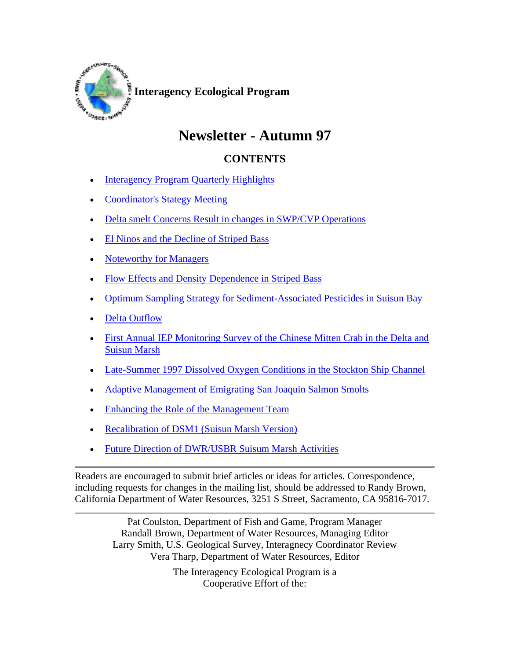

## **Newsletter - Autumn 97**

## **CONTENTS**

- Interagency Program Quarterly Highlights
- Coordinator's Stategy Meeting
- Delta smelt Concerns Result in changes in SWP/CVP Operations
- El Ninos and the Decline of Striped Bass
- Noteworthy for Managers
- Flow Effects and Density Dependence in Striped Bass
- Optimum Sampling Strategy for Sediment-Associated Pesticides in Suisun Bay
- Delta Outflow
- First Annual IEP Monitoring Survey of the Chinese Mitten Crab in the Delta and Suisun Marsh
- Late-Summer 1997 Dissolved Oxygen Conditions in the Stockton Ship Channel
- Adaptive Management of Emigrating San Joaquin Salmon Smolts
- Enhancing the Role of the Management Team
- Recalibration of DSM1 (Suisun Marsh Version)
- Future Direction of DWR/USBR Suisum Marsh Activities

Readers are encouraged to submit brief articles or ideas for articles. Correspondence, including requests for changes in the mailing list, should be addressed to Randy Brown, California Department of Water Resources, 3251 S Street, Sacramento, CA 95816-7017.

> Pat Coulston, Department of Fish and Game, Program Manager Randall Brown, Department of Water Resources, Managing Editor Larry Smith, U.S. Geological Survey, Interagnecy Coordinator Review Vera Tharp, Department of Water Resources, Editor

> > The Interagency Ecological Program is a Cooperative Effort of the: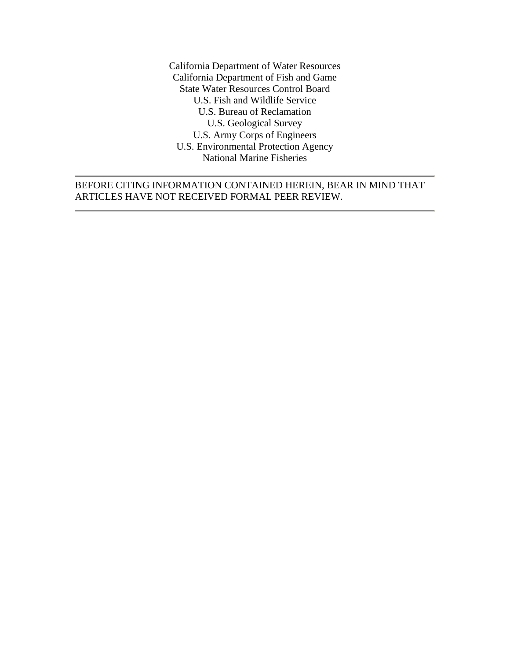California Department of Water Resources California Department of Fish and Game State Water Resources Control Board U.S. Fish and Wildlife Service U.S. Bureau of Reclamation U.S. Geological Survey U.S. Army Corps of Engineers U.S. Environmental Protection Agency National Marine Fisheries

## BEFORE CITING INFORMATION CONTAINED HEREIN, BEAR IN MIND THAT ARTICLES HAVE NOT RECEIVED FORMAL PEER REVIEW.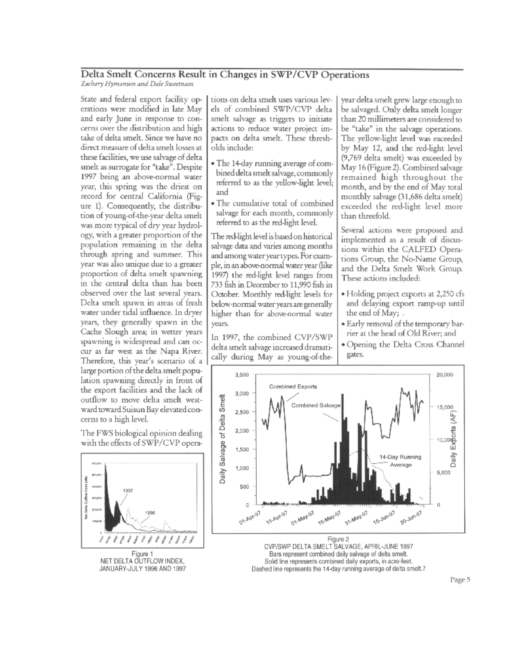## Delta Smelt Concerns Result in Changes in SWP/CVP Operations

Zachary Hymanson and Dale Sweetnam

State and federal export facility operations were modified in late May and early June in response to concerns over the distribution and high take of delta smelt. Since we have no direct measure of delta smelt losses at these facilities, we use salvage of delta smelt as surrogate for "take". Despite 1997 being an above-normal water year, this spring was the driest on record for central California (Figure 1). Consequently, the distribution of young-of-the-year delta smelt was more typical of dry year hydrology, with a greater proportion of the population remaining in the delta through spring and summer. This year was also unique due to a greater proportion of delta smelt spawning in the central delta than has been observed over the last several years. Delta smelt spawn in areas of fresh water under tidal influence. In dryer years, they generally spawn in the Cache Slough area; in wetter years spawning is widespread and can occur as far west as the Napa River. Therefore, this year's scenario of a large portion of the delta smelt population spawning directly in front of the export facilities and the lack of outflow to move delta smelt westward toward Suisun Bay elevated concerns to a high level.

The FWS biological opinion dealing with the effects of SWP/CVP opera-



NET DELTA OUTFLOW INDEX. JANUARY-JULY 1996 AND 1997

tions on delta smelt uses various levels of combined SWP/CVP delta smelt salvage as triggers to initiate actions to reduce water project impacts on delta smelt. These thresholds include:

- · The 14-day running average of combined delta smelt salvage, commonly referred to as the yellow-light level; and
- · The cumulative total of combined salvage for each month, commonly referred to as the red-light level.

The red-light level is based on historical salvage data and varies among months and among water year types. For example, in an above-normal water year (like 1997) the red-light level ranges from 733 fish in December to 11,990 fish in October. Monthly red-light levels for below-normal water years are generally higher than for above-normal water vears.

In 1997, the combined CVP/SWP delta smelt salvage increased dramatically during May as young-of-theyear delta smelt grew large enough to be salvaged. Only delta smelt longer than 20 millimeters are considered to be "take" in the salvage operations. The yellow-light level was exceeded by May 12, and the red-light level (9,769 delta smelt) was exceeded by May 16 (Figure 2). Combined salvage remained high throughout the month, and by the end of May total monthly salvage (31,686 delta smelt) exceeded the red-light level more than threefold.

Several actions were proposed and implemented as a result of discussions within the CALFED Operations Group, the No-Name Group, and the Delta Smelt Work Group. These actions included:

- · Holding project exports at 2,250 cfs and delaying export ramp-up until the end of May;
- · Early removal of the temporary barrier at the head of Old River; and
- · Opening the Delta Cross Channel gates.



CVP/SWP DELTA SMELT SALVAGE, APRIL-JUNE 1997 Bars represent combined daily salvage of delta smelt. Solid line represents combined daily exports, in acre-feet. Dashed line represents the 14-day running average of delta smelt.7